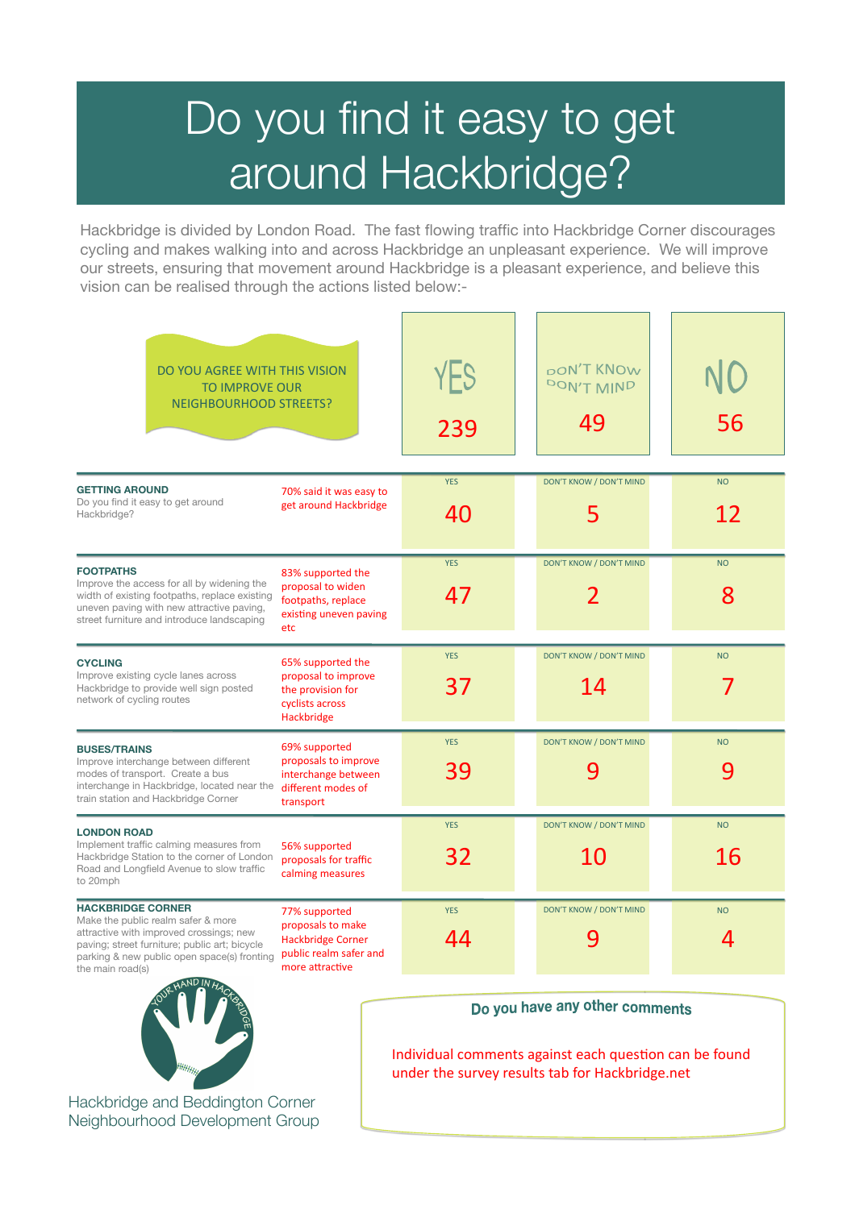# Do you find it easy to get around Hackbridge?

Hackbridge is divided by London Road. The fast flowing traffic into Hackbridge Corner discourages cycling and makes walking into and across Hackbridge an unpleasant experience. We will improve our streets, ensuring that movement around Hackbridge is a pleasant experience, and believe this vision can be realised through the actions listed below:-

| DO YOU AGREE WITH THIS VISION<br><b>TO IMPROVE OUR</b><br><b>NEIGHBOURHOOD STREETS?</b>                                                                                                                                                            |                                                                                                             | YES<br>239       | <b>DON'T KNOW</b><br>DON'T MIND<br>49    | 56              |
|----------------------------------------------------------------------------------------------------------------------------------------------------------------------------------------------------------------------------------------------------|-------------------------------------------------------------------------------------------------------------|------------------|------------------------------------------|-----------------|
| <b>GETTING AROUND</b><br>Do you find it easy to get around<br>Hackbridge?                                                                                                                                                                          | 70% said it was easy to<br>get around Hackbridge                                                            | <b>YES</b><br>40 | <b>DON'T KNOW / DON'T MIND</b><br>5      | <b>NO</b><br>12 |
| <b>FOOTPATHS</b><br>Improve the access for all by widening the<br>width of existing footpaths, replace existing<br>uneven paving with new attractive paving,<br>street furniture and introduce landscaping                                         | 83% supported the<br>proposal to widen<br>footpaths, replace<br>existing uneven paving<br>etc               | <b>YES</b><br>47 | DON'T KNOW / DON'T MIND<br>$\mathcal{P}$ | <b>NO</b><br>8  |
| <b>CYCLING</b><br>Improve existing cycle lanes across<br>Hackbridge to provide well sign posted<br>network of cycling routes                                                                                                                       | 65% supported the<br>proposal to improve<br>the provision for<br>cyclists across<br>Hackbridge              | <b>YES</b><br>37 | DON'T KNOW / DON'T MIND<br>14            | <b>NO</b>       |
| <b>BUSES/TRAINS</b><br>Improve interchange between different<br>modes of transport. Create a bus<br>interchange in Hackbridge, located near the<br>train station and Hackbridge Corner                                                             | 69% supported<br>proposals to improve<br>interchange between<br>different modes of<br>transport             | <b>YES</b><br>39 | <b>DON'T KNOW / DON'T MIND</b><br>9      | <b>NO</b><br>9  |
| <b>LONDON ROAD</b><br>Implement traffic calming measures from<br>Hackbridge Station to the corner of London<br>Road and Longfield Avenue to slow traffic<br>to 20mph                                                                               | 56% supported<br>proposals for traffic<br>calming measures                                                  | <b>YES</b><br>32 | <b>DON'T KNOW / DON'T MIND</b><br>10     | <b>NO</b><br>16 |
| <b>HACKBRIDGE CORNER</b><br>Make the public realm safer & more<br>attractive with improved crossings; new<br>paving; street furniture; public art; bicycle<br>parking & new public open space(s) fronting<br>the main road(s)<br><b>JAND IN LI</b> | 77% supported<br>proposals to make<br><b>Hackbridge Corner</b><br>public realm safer and<br>more attractive | <b>YES</b><br>44 | DON'T KNOW / DON'T MIND<br>9             | <b>NO</b><br>4  |



Hackbridge and Beddington Corner Neighbourhood Development Group

#### Do you have any other comments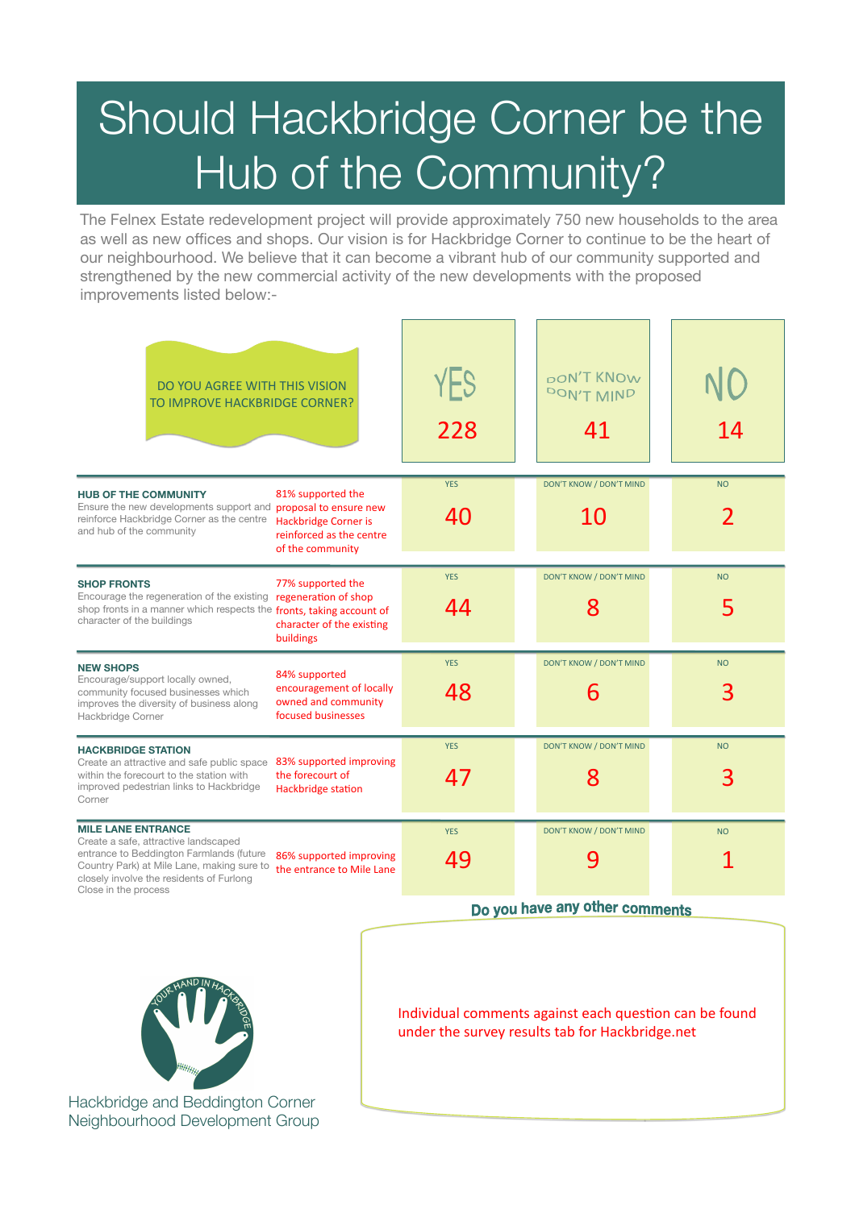# Should Hackbridge Corner be the Hub of the Community?

The Felnex Estate redevelopment project will provide approximately 750 new households to the area as well as new offices and shops. Our vision is for Hackbridge Corner to continue to be the heart of our neighbourhood. We believe that it can become a vibrant hub of our community supported and strengthened by the new commercial activity of the new developments with the proposed improvements listed below:-

| DO YOU AGREE WITH THIS VISION<br>TO IMPROVE HACKBRIDGE CORNER?                                                                                                                                                                                                                          | YES<br>228       | pon't KNOw<br>DON'T MIND<br>41      | 14             |
|-----------------------------------------------------------------------------------------------------------------------------------------------------------------------------------------------------------------------------------------------------------------------------------------|------------------|-------------------------------------|----------------|
| 81% supported the<br><b>HUB OF THE COMMUNITY</b><br>Ensure the new developments support and proposal to ensure new<br>reinforce Hackbridge Corner as the centre<br><b>Hackbridge Corner is</b><br>and hub of the community<br>reinforced as the centre<br>of the community              | <b>YES</b><br>40 | DON'T KNOW / DON'T MIND<br>10       | <b>NO</b>      |
| 77% supported the<br><b>SHOP FRONTS</b><br>Encourage the regeneration of the existing regeneration of shop<br>shop fronts in a manner which respects the fronts, taking account of<br>character of the buildings<br>character of the existing<br>buildings                              | <b>YES</b><br>44 | DON'T KNOW / DON'T MIND<br>8        | <b>NO</b><br>5 |
| <b>NEW SHOPS</b><br>84% supported<br>Encourage/support locally owned,<br>encouragement of locally<br>community focused businesses which<br>owned and community<br>improves the diversity of business along<br>focused businesses<br>Hackbridge Corner                                   | <b>YES</b><br>48 | DON'T KNOW / DON'T MIND<br>6        | <b>NO</b><br>3 |
| <b>HACKBRIDGE STATION</b><br>83% supported improving<br>Create an attractive and safe public space<br>within the forecourt to the station with<br>the forecourt of<br>improved pedestrian links to Hackbridge<br><b>Hackbridge station</b><br>Corner                                    | <b>YES</b><br>47 | DON'T KNOW / DON'T MIND<br>8        | <b>NO</b><br>3 |
| <b>MILE LANE ENTRANCE</b><br>Create a safe, attractive landscaped<br>entrance to Beddington Farmlands (future<br>86% supported improving<br>Country Park) at Mile Lane, making sure to<br>the entrance to Mile Lane<br>closely involve the residents of Furlong<br>Close in the process | <b>YES</b><br>49 | <b>DON'T KNOW / DON'T MIND</b><br>9 | <b>NO</b>      |

Do you have any other comments



Hackbridge and Beddington Corner Neighbourhood Development Group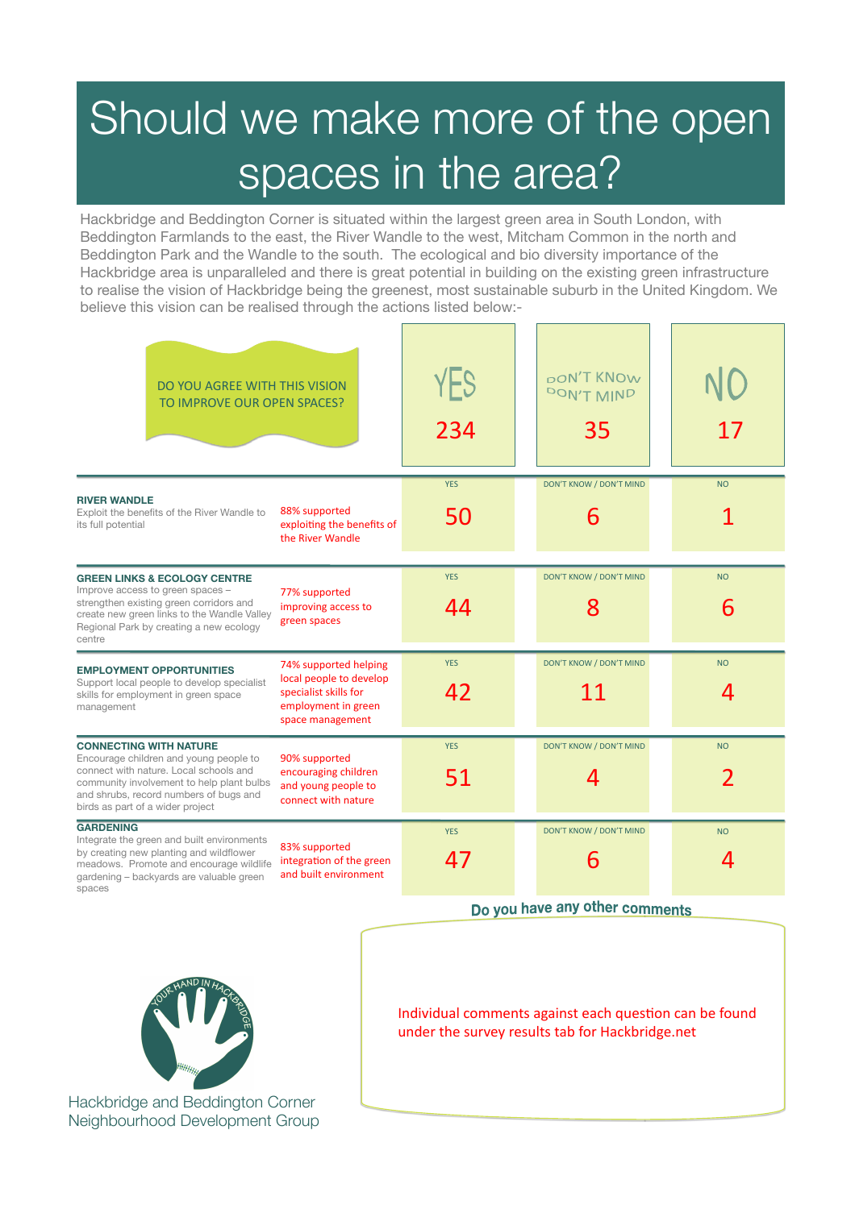### Should we make more of the open spaces in the area?

Hackbridge and Beddington Corner is situated within the largest green area in South London, with Beddington Farmlands to the east, the River Wandle to the west, Mitcham Common in the north and Beddington Park and the Wandle to the south. The ecological and bio diversity importance of the Hackbridge area is unparalleled and there is great potential in building on the existing green infrastructure to realise the vision of Hackbridge being the greenest, most sustainable suburb in the United Kingdom. We believe this vision can be realised through the actions listed below:-

| DO YOU AGREE WITH THIS VISION<br>TO IMPROVE OUR OPEN SPACES?                                                                                                                                                                                 |                                                                                                                      | YES<br>234       | <b>pON'T KNOW</b><br>DON'T MIND<br>35 | 17             |
|----------------------------------------------------------------------------------------------------------------------------------------------------------------------------------------------------------------------------------------------|----------------------------------------------------------------------------------------------------------------------|------------------|---------------------------------------|----------------|
| <b>RIVER WANDLE</b><br>Exploit the benefits of the River Wandle to<br>its full potential                                                                                                                                                     | 88% supported<br>exploiting the benefits of<br>the River Wandle                                                      | <b>YES</b><br>50 | DON'T KNOW / DON'T MIND<br>6          | <b>NO</b>      |
| <b>GREEN LINKS &amp; ECOLOGY CENTRE</b><br>Improve access to green spaces -<br>strengthen existing green corridors and<br>create new green links to the Wandle Valley<br>Regional Park by creating a new ecology<br>centre                   | 77% supported<br>improving access to<br>green spaces                                                                 | <b>YES</b><br>44 | DON'T KNOW / DON'T MIND<br>8          | <b>NO</b><br>6 |
| <b>EMPLOYMENT OPPORTUNITIES</b><br>Support local people to develop specialist<br>skills for employment in green space<br>management                                                                                                          | 74% supported helping<br>local people to develop<br>specialist skills for<br>employment in green<br>space management | <b>YES</b><br>42 | <b>DON'T KNOW / DON'T MIND</b><br>11  | <b>NO</b><br>4 |
| <b>CONNECTING WITH NATURE</b><br>Encourage children and young people to<br>connect with nature. Local schools and<br>community involvement to help plant bulbs<br>and shrubs, record numbers of bugs and<br>birds as part of a wider project | 90% supported<br>encouraging children<br>and young people to<br>connect with nature                                  | <b>YES</b><br>51 | DON'T KNOW / DON'T MIND<br>4          | <b>NO</b>      |
| <b>GARDENING</b><br>Integrate the green and built environments<br>by creating new planting and wildflower<br>meadows. Promote and encourage wildlife<br>gardening - backyards are valuable green<br>spaces                                   | 83% supported<br>integration of the green<br>and built environment                                                   | <b>YES</b><br>47 | DON'T KNOW / DON'T MIND<br>6          | <b>NO</b><br>4 |

Do you have any other comments



Hackbridge and Beddington Corner Neighbourhood Development Group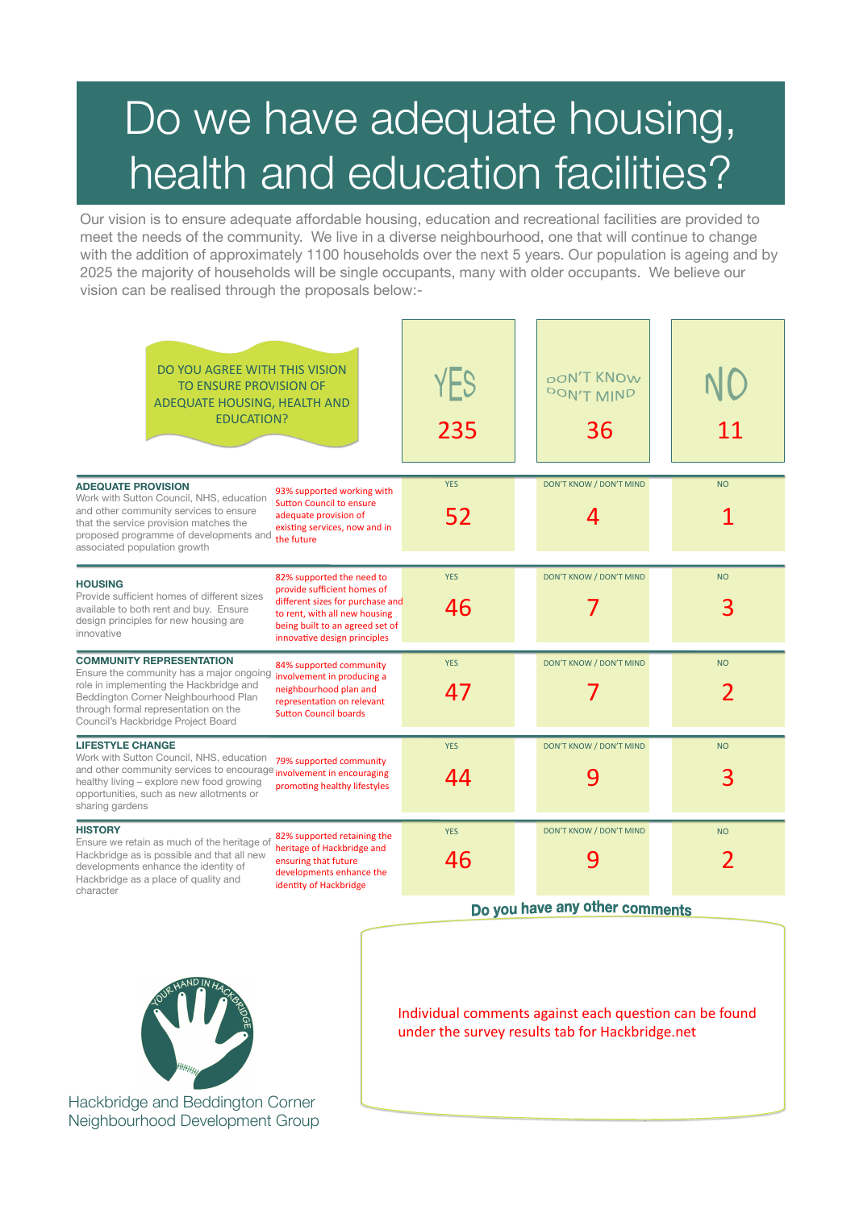### Do we have adequate housing, health and education facilities?

Our vision is to ensure adequate affordable housing, education and recreational facilities are provided to meet the needs of the community. We live in a diverse neighbourhood, one that will continue to change with the addition of approximately 1100 households over the next 5 years. Our population is ageing and by 2025 the majority of households will be single occupants, many with older occupants. We believe our vision can be realised through the proposals below:-

| DO YOU AGREE WITH THIS VISION<br><b>TO ENSURE PROVISION OF</b><br>ADEQUATE HOUSING, HEALTH AND<br><b>EDUCATION?</b>                                                                                                                                                                                                                                                                           | YES<br>235       | <b>pON'T KNOW</b><br>DON'T MIND<br>36 | 11             |
|-----------------------------------------------------------------------------------------------------------------------------------------------------------------------------------------------------------------------------------------------------------------------------------------------------------------------------------------------------------------------------------------------|------------------|---------------------------------------|----------------|
| <b>ADEQUATE PROVISION</b><br>93% supported working with<br>Work with Sutton Council, NHS, education<br><b>Sutton Council to ensure</b><br>and other community services to ensure<br>adequate provision of<br>that the service provision matches the<br>existing services, now and in<br>proposed programme of developments and<br>the future<br>associated population growth                  | <b>YES</b><br>52 | DON'T KNOW / DON'T MIND<br>4          | <b>NO</b>      |
| 82% supported the need to<br><b>HOUSING</b><br>provide sufficient homes of<br>Provide sufficient homes of different sizes<br>different sizes for purchase and<br>available to both rent and buy. Ensure<br>to rent, with all new housing<br>design principles for new housing are<br>being built to an agreed set of<br>innovative<br>innovative design principles                            | <b>YES</b><br>46 | DON'T KNOW / DON'T MIND               | <b>NO</b><br>3 |
| <b>COMMUNITY REPRESENTATION</b><br>84% supported community<br>Ensure the community has a major ongoing<br>involvement in producing a<br>role in implementing the Hackbridge and<br>neighbourhood plan and<br>Beddington Corner Neighbourhood Plan<br>representation on relevant<br>through formal representation on the<br><b>Sutton Council boards</b><br>Council's Hackbridge Project Board | <b>YES</b><br>47 | <b>DON'T KNOW / DON'T MIND</b>        | <b>NO</b>      |
| <b>LIFESTYLE CHANGE</b><br>Work with Sutton Council, NHS, education<br>79% supported community<br>and other community services to encourage <i>involvement</i> in encouraging<br>healthy living - explore new food growing<br>promoting healthy lifestyles<br>opportunities, such as new allotments or<br>sharing gardens                                                                     | <b>YES</b><br>44 | DON'T KNOW / DON'T MIND<br>9          | <b>NO</b>      |
| <b>HISTORY</b><br>82% supported retaining the<br>Ensure we retain as much of the heritage of<br>heritage of Hackbridge and<br>Hackbridge as is possible and that all new<br>ensuring that future<br>developments enhance the identity of<br>developments enhance the<br>Hackbridge as a place of quality and<br>identity of Hackbridge<br>character                                           | <b>YES</b><br>46 | <b>DON'T KNOW / DON'T MIND</b><br>9   | <b>NO</b>      |

Do you have any other comments



Hackbridge and Beddington Corner Neighbourhood Development Group